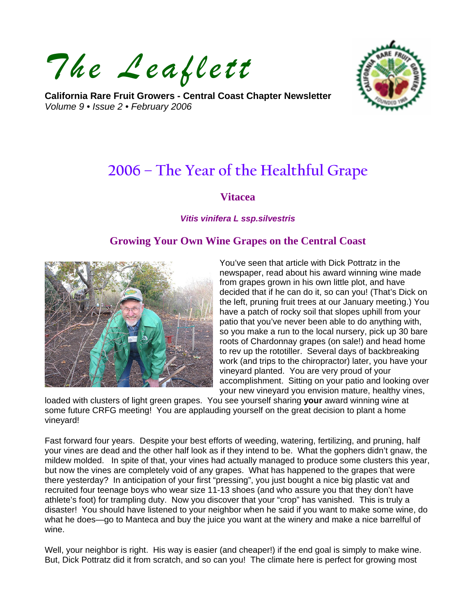*The Leaflett*

**California Rare Fruit Growers - Central Coast Chapter Newsletter**  *Volume 9 • Issue 2 • February 2006* 



# **2006 – The Year of the Healthful Grape**

#### **Vitacea**

#### *Vitis vinifera L ssp.silvestris*

## **Growing Your Own Wine Grapes on the Central Coast**



You've seen that article with Dick Pottratz in the newspaper, read about his award winning wine made from grapes grown in his own little plot, and have decided that if he can do it, so can you! (That's Dick on the left, pruning fruit trees at our January meeting.) You have a patch of rocky soil that slopes uphill from your patio that you've never been able to do anything with, so you make a run to the local nursery, pick up 30 bare roots of Chardonnay grapes (on sale!) and head home to rev up the rototiller. Several days of backbreaking work (and trips to the chiropractor) later, you have your vineyard planted. You are very proud of your accomplishment. Sitting on your patio and looking over your new vineyard you envision mature, healthy vines,

loaded with clusters of light green grapes. You see yourself sharing **your** award winning wine at some future CRFG meeting! You are applauding yourself on the great decision to plant a home vineyard!

Fast forward four years. Despite your best efforts of weeding, watering, fertilizing, and pruning, half your vines are dead and the other half look as if they intend to be. What the gophers didn't gnaw, the mildew molded. In spite of that, your vines had actually managed to produce some clusters this year, but now the vines are completely void of any grapes. What has happened to the grapes that were there yesterday? In anticipation of your first "pressing", you just bought a nice big plastic vat and recruited four teenage boys who wear size 11-13 shoes (and who assure you that they don't have athlete's foot) for trampling duty. Now you discover that your "crop" has vanished. This is truly a disaster! You should have listened to your neighbor when he said if you want to make some wine, do what he does—go to Manteca and buy the juice you want at the winery and make a nice barrelful of wine.

Well, your neighbor is right. His way is easier (and cheaper!) if the end goal is simply to make wine. But, Dick Pottratz did it from scratch, and so can you! The climate here is perfect for growing most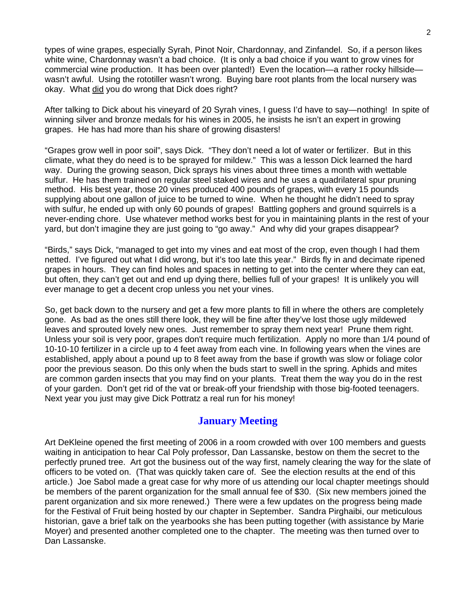types of wine grapes, especially Syrah, Pinot Noir, Chardonnay, and Zinfandel. So, if a person likes white wine, Chardonnay wasn't a bad choice. (It is only a bad choice if you want to grow vines for commercial wine production. It has been over planted!) Even the location—a rather rocky hillside wasn't awful. Using the rototiller wasn't wrong. Buying bare root plants from the local nursery was okay. What did you do wrong that Dick does right?

After talking to Dick about his vineyard of 20 Syrah vines, I guess I'd have to say—nothing! In spite of winning silver and bronze medals for his wines in 2005, he insists he isn't an expert in growing grapes. He has had more than his share of growing disasters!

"Grapes grow well in poor soil", says Dick. "They don't need a lot of water or fertilizer. But in this climate, what they do need is to be sprayed for mildew." This was a lesson Dick learned the hard way. During the growing season, Dick sprays his vines about three times a month with wettable sulfur. He has them trained on regular steel staked wires and he uses a quadrilateral spur pruning method. His best year, those 20 vines produced 400 pounds of grapes, with every 15 pounds supplying about one gallon of juice to be turned to wine. When he thought he didn't need to spray with sulfur, he ended up with only 60 pounds of grapes! Battling gophers and ground squirrels is a never-ending chore. Use whatever method works best for you in maintaining plants in the rest of your yard, but don't imagine they are just going to "go away." And why did your grapes disappear?

"Birds," says Dick, "managed to get into my vines and eat most of the crop, even though I had them netted. I've figured out what I did wrong, but it's too late this year." Birds fly in and decimate ripened grapes in hours. They can find holes and spaces in netting to get into the center where they can eat, but often, they can't get out and end up dying there, bellies full of your grapes! It is unlikely you will ever manage to get a decent crop unless you net your vines.

So, get back down to the nursery and get a few more plants to fill in where the others are completely gone. As bad as the ones still there look, they will be fine after they've lost those ugly mildewed leaves and sprouted lovely new ones. Just remember to spray them next year! Prune them right. Unless your soil is very poor, grapes don't require much fertilization. Apply no more than 1/4 pound of 10-10-10 fertilizer in a circle up to 4 feet away from each vine. In following years when the vines are established, apply about a pound up to 8 feet away from the base if growth was slow or foliage color poor the previous season. Do this only when the buds start to swell in the spring. Aphids and mites are common garden insects that you may find on your plants. Treat them the way you do in the rest of your garden. Don't get rid of the vat or break-off your friendship with those big-footed teenagers. Next year you just may give Dick Pottratz a real run for his money!

## **January Meeting**

Art DeKleine opened the first meeting of 2006 in a room crowded with over 100 members and guests waiting in anticipation to hear Cal Poly professor, Dan Lassanske, bestow on them the secret to the perfectly pruned tree. Art got the business out of the way first, namely clearing the way for the slate of officers to be voted on. (That was quickly taken care of. See the election results at the end of this article.) Joe Sabol made a great case for why more of us attending our local chapter meetings should be members of the parent organization for the small annual fee of \$30. (Six new members joined the parent organization and six more renewed.) There were a few updates on the progress being made for the Festival of Fruit being hosted by our chapter in September. Sandra Pirghaibi, our meticulous historian, gave a brief talk on the yearbooks she has been putting together (with assistance by Marie Moyer) and presented another completed one to the chapter. The meeting was then turned over to Dan Lassanske.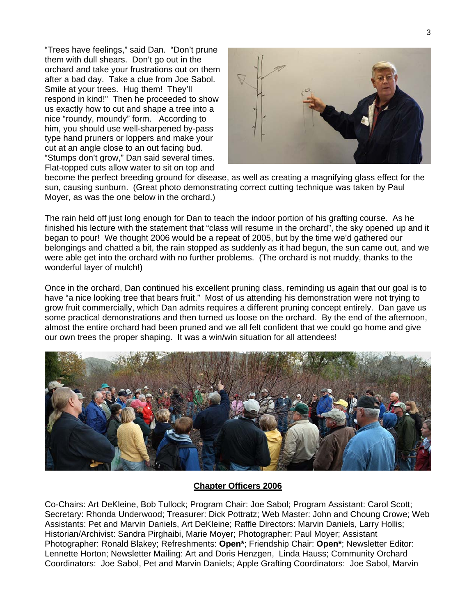"Trees have feelings," said Dan. "Don't prune them with dull shears. Don't go out in the orchard and take your frustrations out on them after a bad day. Take a clue from Joe Sabol. Smile at your trees. Hug them! They'll respond in kind!" Then he proceeded to show us exactly how to cut and shape a tree into a nice "roundy, moundy" form. According to him, you should use well-sharpened by-pass type hand pruners or loppers and make your cut at an angle close to an out facing bud. "Stumps don't grow," Dan said several times. Flat-topped cuts allow water to sit on top and



become the perfect breeding ground for disease, as well as creating a magnifying glass effect for the sun, causing sunburn. (Great photo demonstrating correct cutting technique was taken by Paul Moyer, as was the one below in the orchard.)

The rain held off just long enough for Dan to teach the indoor portion of his grafting course. As he finished his lecture with the statement that "class will resume in the orchard", the sky opened up and it began to pour! We thought 2006 would be a repeat of 2005, but by the time we'd gathered our belongings and chatted a bit, the rain stopped as suddenly as it had begun, the sun came out, and we were able get into the orchard with no further problems. (The orchard is not muddy, thanks to the wonderful layer of mulch!)

Once in the orchard, Dan continued his excellent pruning class, reminding us again that our goal is to have "a nice looking tree that bears fruit." Most of us attending his demonstration were not trying to grow fruit commercially, which Dan admits requires a different pruning concept entirely. Dan gave us some practical demonstrations and then turned us loose on the orchard. By the end of the afternoon, almost the entire orchard had been pruned and we all felt confident that we could go home and give our own trees the proper shaping. It was a win/win situation for all attendees!



#### **Chapter Officers 2006**

Co-Chairs: Art DeKleine, Bob Tullock; Program Chair: Joe Sabol; Program Assistant: Carol Scott; Secretary: Rhonda Underwood; Treasurer: Dick Pottratz; Web Master: John and Choung Crowe; Web Assistants: Pet and Marvin Daniels, Art DeKleine; Raffle Directors: Marvin Daniels, Larry Hollis; Historian/Archivist: Sandra Pirghaibi, Marie Moyer; Photographer: Paul Moyer; Assistant Photographer: Ronald Blakey; Refreshments: **Open\***; Friendship Chair: **Open\***; Newsletter Editor: Lennette Horton; Newsletter Mailing: Art and Doris Henzgen, Linda Hauss; Community Orchard Coordinators: Joe Sabol, Pet and Marvin Daniels; Apple Grafting Coordinators: Joe Sabol, Marvin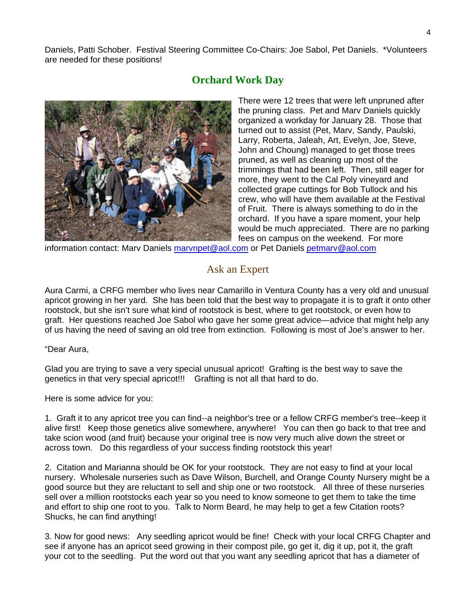Daniels, Patti Schober. Festival Steering Committee Co-Chairs: Joe Sabol, Pet Daniels. \*Volunteers are needed for these positions!

## **Orchard Work Day**



There were 12 trees that were left unpruned after the pruning class. Pet and Marv Daniels quickly organized a workday for January 28. Those that turned out to assist (Pet, Marv, Sandy, Paulski, Larry, Roberta, Jaleah, Art, Evelyn, Joe, Steve, John and Choung) managed to get those trees pruned, as well as cleaning up most of the trimmings that had been left. Then, still eager for more, they went to the Cal Poly vineyard and collected grape cuttings for Bob Tullock and his crew, who will have them available at the Festival of Fruit. There is always something to do in the orchard. If you have a spare moment, your help would be much appreciated. There are no parking fees on campus on the weekend. For more

information contact: Marv Daniels [marvnpet@aol.com](mailto:marvnpet@aol.com) or Pet Daniels [petmarv@aol.com](mailto:petmarv@aol.com)

## Ask an Expert

Aura Carmi, a CRFG member who lives near Camarillo in Ventura County has a very old and unusual apricot growing in her yard. She has been told that the best way to propagate it is to graft it onto other rootstock, but she isn't sure what kind of rootstock is best, where to get rootstock, or even how to graft. Her questions reached Joe Sabol who gave her some great advice—advice that might help any of us having the need of saving an old tree from extinction. Following is most of Joe's answer to her.

"Dear Aura,

Glad you are trying to save a very special unusual apricot! Grafting is the best way to save the genetics in that very special apricot!!! Grafting is not all that hard to do.

Here is some advice for you:

1. Graft it to any apricot tree you can find--a neighbor's tree or a fellow CRFG member's tree--keep it alive first! Keep those genetics alive somewhere, anywhere! You can then go back to that tree and take scion wood (and fruit) because your original tree is now very much alive down the street or across town. Do this regardless of your success finding rootstock this year!

2. Citation and Marianna should be OK for your rootstock. They are not easy to find at your local nursery. Wholesale nurseries such as Dave Wilson, Burchell, and Orange County Nursery might be a good source but they are reluctant to sell and ship one or two rootstock. All three of these nurseries sell over a million rootstocks each year so you need to know someone to get them to take the time and effort to ship one root to you. Talk to Norm Beard, he may help to get a few Citation roots? Shucks, he can find anything!

3. Now for good news: Any seedling apricot would be fine! Check with your local CRFG Chapter and see if anyone has an apricot seed growing in their compost pile, go get it, dig it up, pot it, the graft your cot to the seedling. Put the word out that you want any seedling apricot that has a diameter of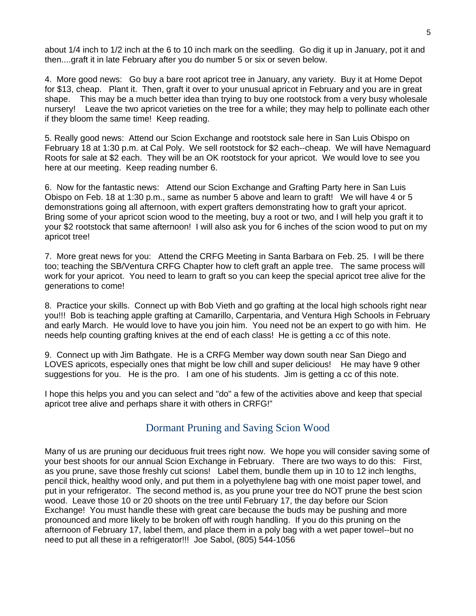about 1/4 inch to 1/2 inch at the 6 to 10 inch mark on the seedling. Go dig it up in January, pot it and then....graft it in late February after you do number 5 or six or seven below.

4. More good news: Go buy a bare root apricot tree in January, any variety. Buy it at Home Depot for \$13, cheap. Plant it. Then, graft it over to your unusual apricot in February and you are in great shape. This may be a much better idea than trying to buy one rootstock from a very busy wholesale nursery! Leave the two apricot varieties on the tree for a while; they may help to pollinate each other if they bloom the same time! Keep reading.

5. Really good news: Attend our Scion Exchange and rootstock sale here in San Luis Obispo on February 18 at 1:30 p.m. at Cal Poly. We sell rootstock for \$2 each--cheap. We will have Nemaguard Roots for sale at \$2 each. They will be an OK rootstock for your apricot. We would love to see you here at our meeting. Keep reading number 6.

6. Now for the fantastic news: Attend our Scion Exchange and Grafting Party here in San Luis Obispo on Feb. 18 at 1:30 p.m., same as number 5 above and learn to graft! We will have 4 or 5 demonstrations going all afternoon, with expert grafters demonstrating how to graft your apricot. Bring some of your apricot scion wood to the meeting, buy a root or two, and I will help you graft it to your \$2 rootstock that same afternoon! I will also ask you for 6 inches of the scion wood to put on my apricot tree!

7. More great news for you: Attend the CRFG Meeting in Santa Barbara on Feb. 25. I will be there too; teaching the SB/Ventura CRFG Chapter how to cleft graft an apple tree. The same process will work for your apricot. You need to learn to graft so you can keep the special apricot tree alive for the generations to come!

8. Practice your skills. Connect up with Bob Vieth and go grafting at the local high schools right near you!!! Bob is teaching apple grafting at Camarillo, Carpentaria, and Ventura High Schools in February and early March. He would love to have you join him. You need not be an expert to go with him. He needs help counting grafting knives at the end of each class! He is getting a cc of this note.

9. Connect up with Jim Bathgate. He is a CRFG Member way down south near San Diego and LOVES apricots, especially ones that might be low chill and super delicious! He may have 9 other suggestions for you. He is the pro. I am one of his students. Jim is getting a cc of this note.

I hope this helps you and you can select and "do" a few of the activities above and keep that special apricot tree alive and perhaps share it with others in CRFG!"

## Dormant Pruning and Saving Scion Wood

Many of us are pruning our deciduous fruit trees right now. We hope you will consider saving some of your best shoots for our annual Scion Exchange in February. There are two ways to do this: First, as you prune, save those freshly cut scions! Label them, bundle them up in 10 to 12 inch lengths, pencil thick, healthy wood only, and put them in a polyethylene bag with one moist paper towel, and put in your refrigerator. The second method is, as you prune your tree do NOT prune the best scion wood. Leave those 10 or 20 shoots on the tree until February 17, the day before our Scion Exchange! You must handle these with great care because the buds may be pushing and more pronounced and more likely to be broken off with rough handling. If you do this pruning on the afternoon of February 17, label them, and place them in a poly bag with a wet paper towel--but no need to put all these in a refrigerator!!! Joe Sabol, (805) 544-1056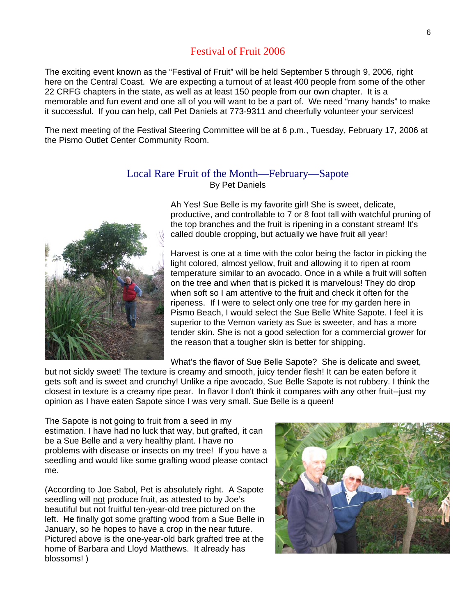### Festival of Fruit 2006

The exciting event known as the "Festival of Fruit" will be held September 5 through 9, 2006, right here on the Central Coast. We are expecting a turnout of at least 400 people from some of the other 22 CRFG chapters in the state, as well as at least 150 people from our own chapter. It is a memorable and fun event and one all of you will want to be a part of. We need "many hands" to make it successful. If you can help, call Pet Daniels at 773-9311 and cheerfully volunteer your services!

The next meeting of the Festival Steering Committee will be at 6 p.m., Tuesday, February 17, 2006 at the Pismo Outlet Center Community Room.

Local Rare Fruit of the Month—February—Sapote By Pet Daniels

> Ah Yes! Sue Belle is my favorite girl! She is sweet, delicate, productive, and controllable to 7 or 8 foot tall with watchful pruning of the top branches and the fruit is ripening in a constant stream! It's called double cropping, but actually we have fruit all year!

Harvest is one at a time with the color being the factor in picking the light colored, almost yellow, fruit and allowing it to ripen at room temperature similar to an avocado. Once in a while a fruit will soften on the tree and when that is picked it is marvelous! They do drop when soft so I am attentive to the fruit and check it often for the ripeness. If I were to select only one tree for my garden here in Pismo Beach, I would select the Sue Belle White Sapote. I feel it is superior to the Vernon variety as Sue is sweeter, and has a more tender skin. She is not a good selection for a commercial grower for the reason that a tougher skin is better for shipping.

What's the flavor of Sue Belle Sapote? She is delicate and sweet,

but not sickly sweet! The texture is creamy and smooth, juicy tender flesh! It can be eaten before it gets soft and is sweet and crunchy! Unlike a ripe avocado, Sue Belle Sapote is not rubbery. I think the closest in texture is a creamy ripe pear. In flavor I don't think it compares with any other fruit--just my opinion as I have eaten Sapote since I was very small. Sue Belle is a queen!

The Sapote is not going to fruit from a seed in my estimation. I have had no luck that way, but grafted, it can be a Sue Belle and a very healthy plant. I have no problems with disease or insects on my tree! If you have a seedling and would like some grafting wood please contact me.

(According to Joe Sabol, Pet is absolutely right. A Sapote seedling will not produce fruit, as attested to by Joe's beautiful but not fruitful ten-year-old tree pictured on the left. **He** finally got some grafting wood from a Sue Belle in January, so he hopes to have a crop in the near future. Pictured above is the one-year-old bark grafted tree at the home of Barbara and Lloyd Matthews. It already has blossoms! )

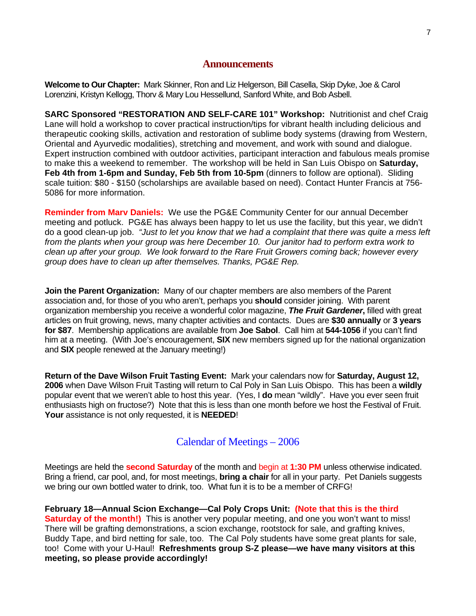#### **Announcements**

**Welcome to Our Chapter:** Mark Skinner, Ron and Liz Helgerson, Bill Casella, Skip Dyke, Joe & Carol Lorenzini, Kristyn Kellogg, Thorv & Mary Lou Hessellund, Sanford White, and Bob Asbell.

**SARC Sponsored "RESTORATION AND SELF-CARE 101" Workshop:** Nutritionist and chef Craig Lane will hold a workshop to cover practical instruction/tips for vibrant health including delicious and therapeutic cooking skills, activation and restoration of sublime body systems (drawing from Western, Oriental and Ayurvedic modalities), stretching and movement, and work with sound and dialogue. Expert instruction combined with outdoor activities, participant interaction and fabulous meals promise to make this a weekend to remember. The workshop will be held in San Luis Obispo on **Saturday, Feb 4th from 1-6pm and Sunday, Feb 5th from 10-5pm** (dinners to follow are optional). Sliding scale tuition: \$80 - \$150 (scholarships are available based on need). Contact Hunter Francis at 756- 5086 for more information.

**Reminder from Marv Daniels:** We use the PG&E Community Center for our annual December meeting and potluck. PG&E has always been happy to let us use the facility, but this year, we didn't do a good clean-up job. *"Just to let you know that we had a complaint that there was quite a mess left from the plants when your group was here December 10. Our janitor had to perform extra work to clean up after your group. We look forward to the Rare Fruit Growers coming back; however every group does have to clean up after themselves. Thanks, PG&E Rep.* 

**Join the Parent Organization:** Many of our chapter members are also members of the Parent association and, for those of you who aren't, perhaps you **should** consider joining. With parent organization membership you receive a wonderful color magazine, *The Fruit Gardener***,** filled with great articles on fruit growing, news, many chapter activities and contacts. Dues are **\$30 annually** or **3 years for \$87**. Membership applications are available from **Joe Sabol**. Call him at **544-1056** if you can't find him at a meeting. (With Joe's encouragement, **SIX** new members signed up for the national organization and **SIX** people renewed at the January meeting!)

**Return of the Dave Wilson Fruit Tasting Event:** Mark your calendars now for **Saturday, August 12, 2006** when Dave Wilson Fruit Tasting will return to Cal Poly in San Luis Obispo. This has been a **wildly** popular event that we weren't able to host this year. (Yes, I **do** mean "wildly". Have you ever seen fruit enthusiasts high on fructose?) Note that this is less than one month before we host the Festival of Fruit. **Your** assistance is not only requested, it is **NEEDED**!

#### Calendar of Meetings – 2006

Meetings are held the **second Saturday** of the month and begin at **1:30 PM** unless otherwise indicated. Bring a friend, car pool, and, for most meetings, **bring a chair** for all in your party. Pet Daniels suggests we bring our own bottled water to drink, too. What fun it is to be a member of CRFG!

**February 18—Annual Scion Exchange—Cal Poly Crops Unit: (Note that this is the third Saturday of the month!)** This is another very popular meeting, and one you won't want to miss! There will be grafting demonstrations, a scion exchange, rootstock for sale, and grafting knives, Buddy Tape, and bird netting for sale, too. The Cal Poly students have some great plants for sale, too! Come with your U-Haul! **Refreshments group S-Z please—we have many visitors at this meeting, so please provide accordingly!**